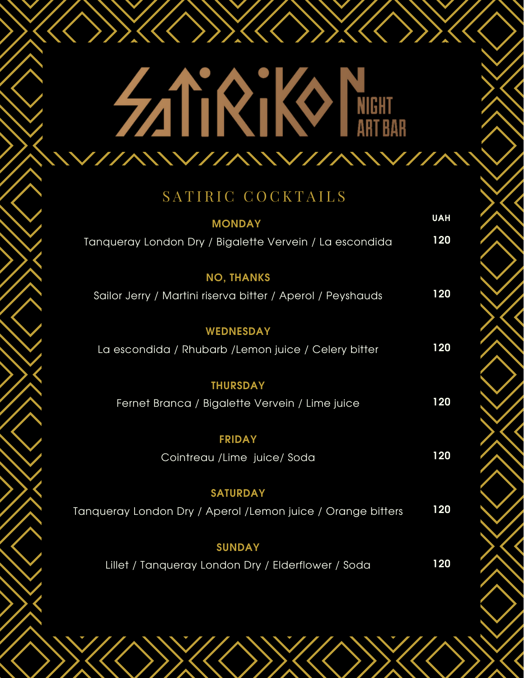#### **SATIRIKI KANTEERIA TARTEERIA SATURI KANGUNA DAGA DAGA DAGA SATURI KANGU KANGUNA DAGA DAGA SATURI KANGU KANGU K** WIII

XK(X))XK(X))XK(

#### SATIRIC COCKTAILS

| <b>MONDAY</b>                                               | <b>UAH</b> |
|-------------------------------------------------------------|------------|
| Tanqueray London Dry / Bigalette Vervein / La escondida     | 120        |
| <b>NO, THANKS</b>                                           |            |
| Sailor Jerry / Martini riserva bitter / Aperol / Peyshauds  | 120        |
| <b>WEDNESDAY</b>                                            |            |
| La escondida / Rhubarb / Lemon juice / Celery bitter        | 120        |
| <b>THURSDAY</b>                                             |            |
| Fernet Branca / Bigalette Vervein / Lime juice              | 120        |
| <b>FRIDAY</b>                                               |            |
| Cointreau /Lime juice/ Soda                                 | 120        |
| <b>SATURDAY</b>                                             |            |
| Tanqueray London Dry / Aperol /Lemon juice / Orange bitters | 120        |
| <b>SUNDAY</b>                                               |            |

Lillet / Tanqueray London Dry / Elderflower / Soda **120**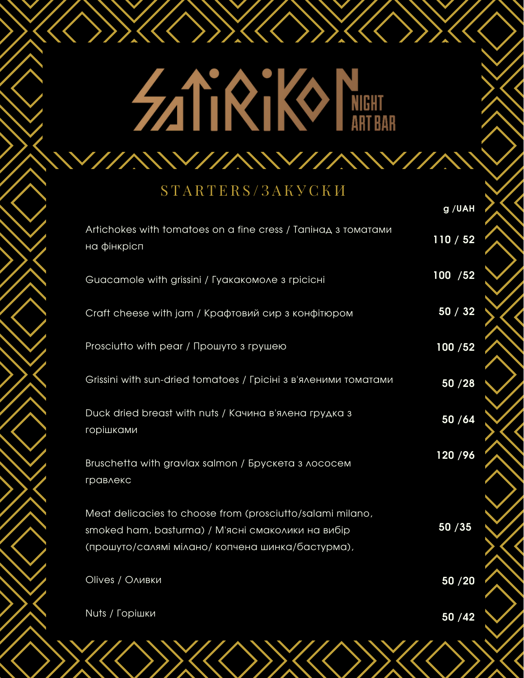## **SATIRIKI KANTEET**

**V//AWV//AWV** 

XK(X)XK(X)XK

#### STARTERS/3AK Y CKM

|                                                                                                                                                                    | g /UAH   |
|--------------------------------------------------------------------------------------------------------------------------------------------------------------------|----------|
| Artichokes with tomatoes on a fine cress / Тапінад з томатами<br>на фінкрісп                                                                                       | 110/52   |
| Guacamole with grissini / Гуакакомоле з грісісні                                                                                                                   | 100 / 52 |
| Craft cheese with jam / Крафтовий сир з конфітюром                                                                                                                 | 50/32    |
| Prosciutto with pear / Прошуто з грушею                                                                                                                            | 100/52   |
| Grissini with sun-dried tomatoes / Грісіні з в'яленими томатами                                                                                                    | 50 / 28  |
| Duck dried breast with nuts / Качина в'ялена грудка з<br>горішками                                                                                                 | 50 / 64  |
| Bruschetta with gravlax salmon / Брускета з лососем<br>гравлекс                                                                                                    | 120/96   |
| Meat delicacies to choose from (prosciutto/salami milano,<br>smoked ham, basturma) / М'ясні смаколики на вибір<br>(прошуто/салямі мілано/ копчена шинка/бастурма), | 50 / 35  |
| Olives / Оливки                                                                                                                                                    | 50 / 20  |
| Nuts / Горішки                                                                                                                                                     | 50 / 42  |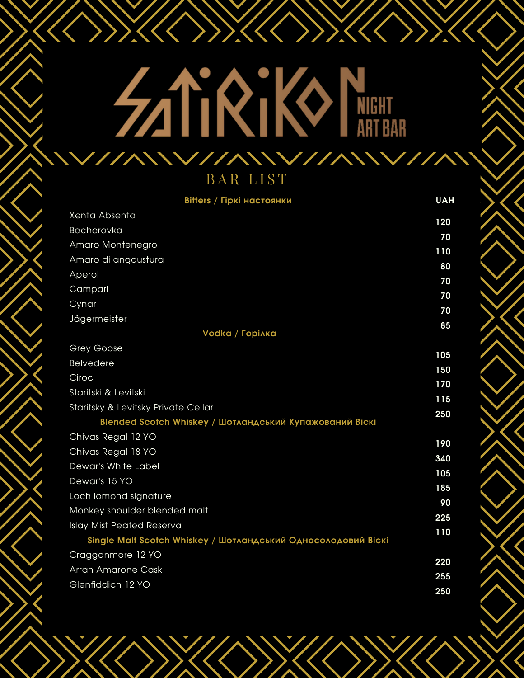# **SATE AND NET**

XXXXXXXXXXX

| <b>Bitters / Гіркі настоянки</b>                              | <b>UAH</b> |
|---------------------------------------------------------------|------------|
| Xenta Absenta                                                 | 120        |
| Becherovka                                                    | 70         |
| Amaro Montenegro                                              | 110        |
| Amaro di angoustura                                           | 80         |
| Aperol                                                        | 70         |
| Campari                                                       | 70         |
| Cynar                                                         | 70         |
| Jägermeister                                                  | 85         |
| Vodka / Горілка                                               |            |
| <b>Grey Goose</b>                                             | 105        |
| <b>Belvedere</b>                                              | 150        |
| Ciroc                                                         | 170        |
| Staritski & Levitski                                          | 115        |
| Staritsky & Levitsky Private Cellar                           | 250        |
| Blended Scotch Whiskey / Шотландський Купажований Віскі       |            |
| Chivas Regal 12 YO                                            | 190        |
| Chivas Regal 18 YO                                            | 340        |
| Dewar's White Label                                           | 105        |
| Dewar's 15 YO                                                 | 185        |
| Loch lomond signature                                         | 90         |
| Monkey shoulder blended malt                                  | 225        |
| <b>Islay Mist Peated Reserva</b>                              | 110        |
| Single Malt Scotch Whiskey / Шотландський Односолодовий Віскі |            |
| Cragganmore 12 YO                                             | 220        |
| <b>Arran Amarone Cask</b>                                     | 255        |
| Glenfiddich 12 YO                                             | 250        |
|                                                               |            |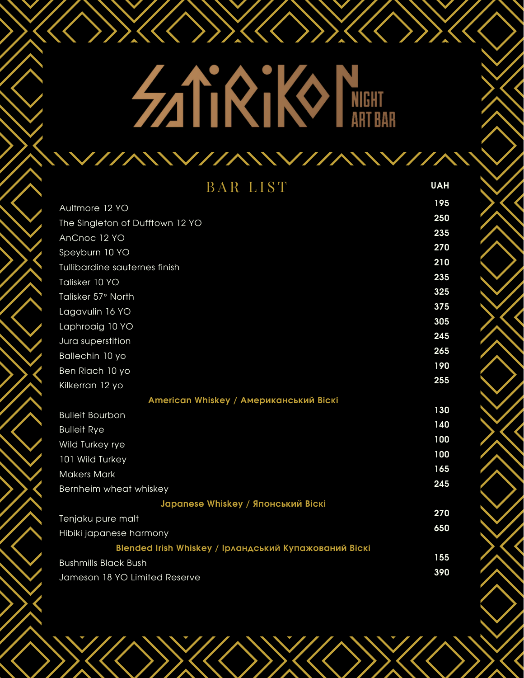## **ZATIRIKI NEHIT**

X(C)X(C)X(C)X

| <b>BAR LIST</b>                                       | <b>UAH</b> |
|-------------------------------------------------------|------------|
| Aultmore 12 YO                                        | 195        |
| The Singleton of Dufftown 12 YO                       | 250        |
| AnCnoc 12 YO                                          | 235        |
| Speyburn 10 YO                                        | 270        |
| Tullibardine sauternes finish                         | 210        |
| Talisker 10 YO                                        | 235        |
| Talisker 57° North                                    | 325        |
| Lagavulin 16 YO                                       | 375        |
| Laphroaig 10 YO                                       | 305        |
| Jura superstition                                     | 245        |
| Ballechin 10 yo                                       | 265        |
| Ben Riach 10 yo                                       | 190        |
| Kilkerran 12 yo                                       | 255        |
| American Whiskey / Американський Віскі                |            |
| <b>Bulleit Bourbon</b>                                | 130        |
| <b>Bulleit Rye</b>                                    | 140        |
| Wild Turkey rye                                       | 100        |
| 101 Wild Turkey                                       | 100        |
| <b>Makers Mark</b>                                    | 165        |
| Bernheim wheat whiskey                                | 245        |
| Japanese Whiskey / Японський Віскі                    |            |
| Tenjaku pure malt                                     | 270        |
| Hibiki japanese harmony                               | 650        |
| Blended Irish Whiskey / Ірландський Купажований Віскі |            |
| <b>Bushmills Black Bush</b>                           | 155        |
| Jameson 18 YO Limited Reserve                         | 390        |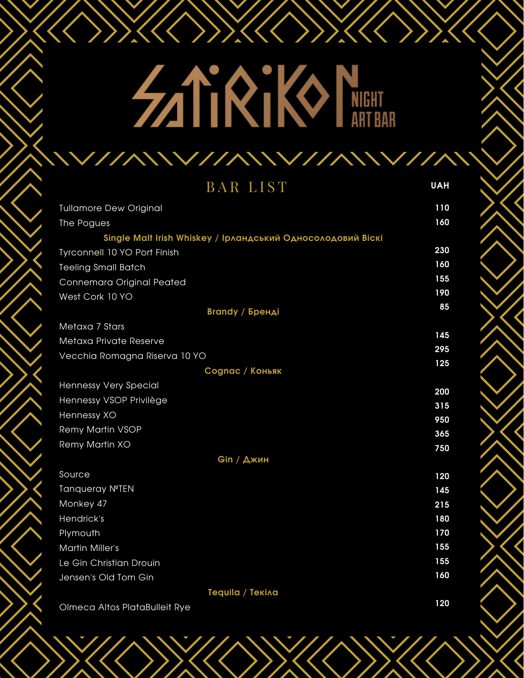## XK(XXX **SATIRIKI NEEL**

| <b>BAR LIST</b>                                             | <b>UAH</b> |
|-------------------------------------------------------------|------------|
| <b>Tullamore Dew Original</b>                               | 110        |
| The Pogues                                                  | 160        |
| Single Malt Irish Whiskey / Ірландський Односолодовий Віскі |            |
| Tyrconnell 10 YO Port Finish                                | 230        |
| <b>Teeling Small Batch</b>                                  | 160        |
| Connemara Original Peated                                   | 155        |
| West Cork 10 YO                                             | 190        |
| <b>Brandy / Бренді</b>                                      | 85         |
| Metaxa 7 Stars                                              |            |
| Metaxa Private Reserve                                      | 145        |
| Vecchia Romagna Riserva 10 YO                               | 295        |
| Cognac / Коньяк                                             | 125        |
| Hennessy Very Special                                       | 200        |
| Hennessy VSOP Privilège                                     | 315        |
| Hennessy XO                                                 | 950        |
| <b>Remy Martin VSOP</b>                                     | 365        |
| Remy Martin XO                                              | 750        |
| Gin / Джин                                                  |            |
| Source                                                      | 120        |
| Tanqueray NºTEN                                             | 145        |
| Monkey 47                                                   | 215        |
| Hendrick's                                                  | 180        |
| Plymouth                                                    | 170        |
| <b>Martin Miller's</b>                                      | 155        |
| Le Gin Christian Drouin                                     | 155        |
| Jensen's Old Tom Gin                                        | 160        |
| Tequila / Tekina                                            |            |

Olmeca Altos PlataBulleit Rye

**120**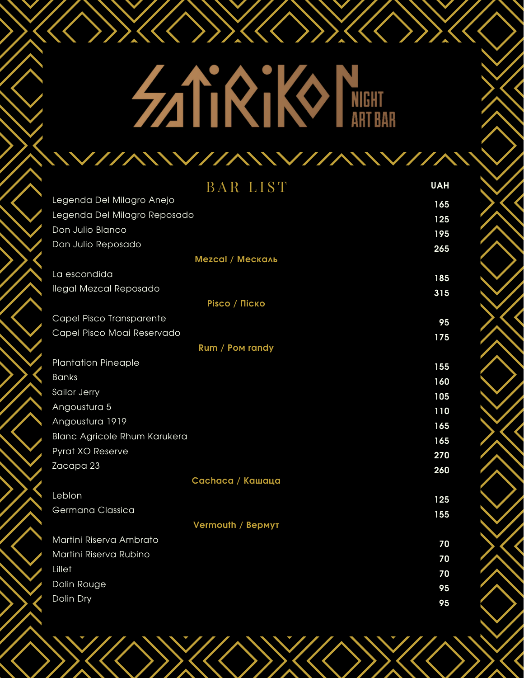### **SATIRIKI KANTEET** W

XKXXXXXXXXX

| <b>BAR LIST</b>                     | <b>UAH</b> |
|-------------------------------------|------------|
| Legenda Del Milagro Anejo           | 165        |
| Legenda Del Milagro Reposado        | 125        |
| Don Julio Blanco                    | 195        |
| Don Julio Reposado                  | 265        |
| <b>Mezcal / Мескаль</b>             |            |
| La escondida                        | 185        |
| <b>Ilegal Mezcal Reposado</b>       | 315        |
| <b>Pisco / Піско</b>                |            |
| Capel Pisco Transparente            | 95         |
| Capel Pisco Moai Reservado          | 175        |
| Rum / Pom randy                     |            |
| <b>Plantation Pineaple</b>          | 155        |
| <b>Banks</b>                        | 160        |
| Sailor Jerry                        | 105        |
| Angoustura 5                        | 110        |
| Angoustura 1919                     | 165        |
| <b>Blanc Agricole Rhum Karukera</b> | 165        |
| Pyrat XO Reserve                    | 270        |
| Zacapa 23                           | 260        |
| Cachaca / Кашаца                    |            |
| Leblon                              | 125        |
| Germana Classica                    | 155        |
| Vermouth / Bepmyt                   |            |
| Martini Riserva Ambrato             | 70         |
| Martini Riserva Rubino              | 70         |
| Lillet                              | 70         |
| Dolin Rouge                         | 95         |
| Dolin Dry                           | 95         |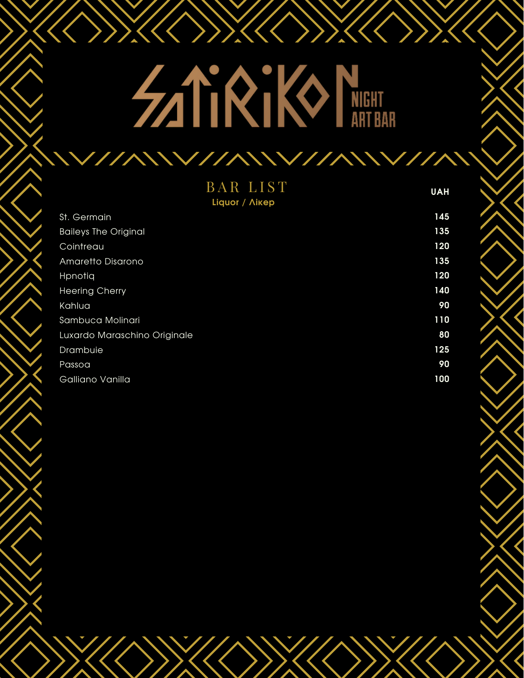### NKK YKKY YKYY **SATIRIKI NEEKITESSEE ARTESTEERING**

| <b>BAR LIST</b><br>Liquor / <i>Nikep</i> | <b>UAH</b> |
|------------------------------------------|------------|
| St. Germain                              | 145        |
| <b>Baileys The Original</b>              | 135        |
| Cointreau                                | 120        |
| Amaretto Disarono                        | 135        |
| Hpnotia                                  | 120        |
| <b>Heering Cherry</b>                    | 140        |
| Kahlua                                   | 90         |
| Sambuca Molinari                         | 110        |
| Luxardo Maraschino Originale             | 80         |
| Drambuie                                 | 125        |
| Passoa                                   | 90         |
| Galliano Vanilla                         | 100        |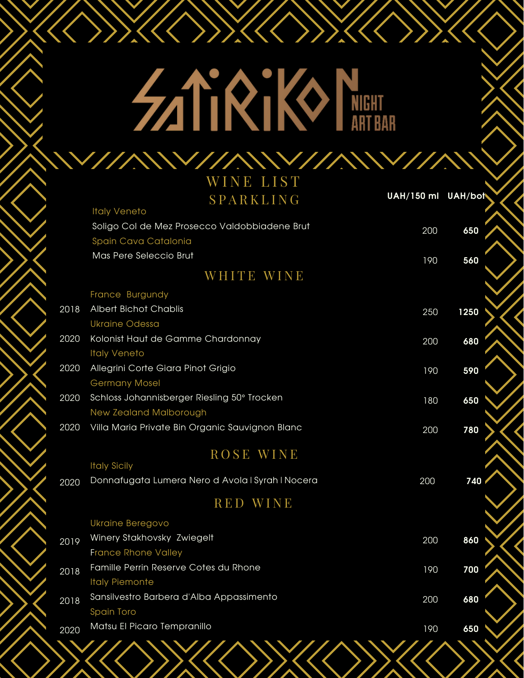## **SATIRIKI KIRIKIRIKI ARTEAN**

XXXXXXXXX

|      | WINE LIST                                        |                    |      |
|------|--------------------------------------------------|--------------------|------|
|      | SPARKLING                                        | UAH/150 ml UAH/bot |      |
|      | <b>Italy Veneto</b>                              |                    |      |
|      | Soligo Col de Mez Prosecco Valdobbiadene Brut    | 200                | 650  |
|      | Spain Cava Catalonia                             |                    |      |
|      | Mas Pere Seleccio Brut                           | 190                | 560  |
|      | WHITE WINE                                       |                    |      |
|      | France Burgundy                                  |                    |      |
| 2018 | <b>Albert Bichot Chablis</b>                     | 250                | 1250 |
|      | <b>Ukraine Odessa</b>                            |                    |      |
| 2020 | Kolonist Haut de Gamme Chardonnay                | 200                | 680  |
|      | <b>Italy Veneto</b>                              |                    |      |
| 2020 | Allegrini Corte Giara Pinot Grigio               | 190                | 590  |
|      | <b>Germany Mosel</b>                             |                    |      |
| 2020 | Schloss Johannisberger Riesling 50° Trocken      | 180                | 650  |
|      | New Zealand Malborough                           |                    |      |
| 2020 | Villa Maria Private Bin Organic Sauvignon Blanc  | 200                | 780  |
|      | ROSE WINE                                        |                    |      |
|      | <b>Italy Sicily</b>                              |                    |      |
| 2020 | Donnafugata Lumera Nero d Avola I Syrah I Nocera | 200                | 740  |
|      | <b>RED WINE</b>                                  |                    |      |
|      | <b>Ukraine Beregovo</b>                          |                    |      |
| 2019 | Winery Stakhovsky Zwiegelt                       | 200                | 860  |
|      | <b>France Rhone Valley</b>                       |                    |      |
| 2018 | Famille Perrin Reserve Cotes du Rhone            | 190                | 700  |
|      | <b>Italy Piemonte</b>                            |                    |      |
| 2018 | Sansilvestro Barbera d'Alba Appassimento         | 200                | 680  |
|      | <b>Spain Toro</b>                                |                    |      |
| 2020 | Matsu El Picaro Tempranillo                      | 190                | 650  |
|      | \\///\\\\///\\\//\\\///\\\/\\\//                 |                    |      |